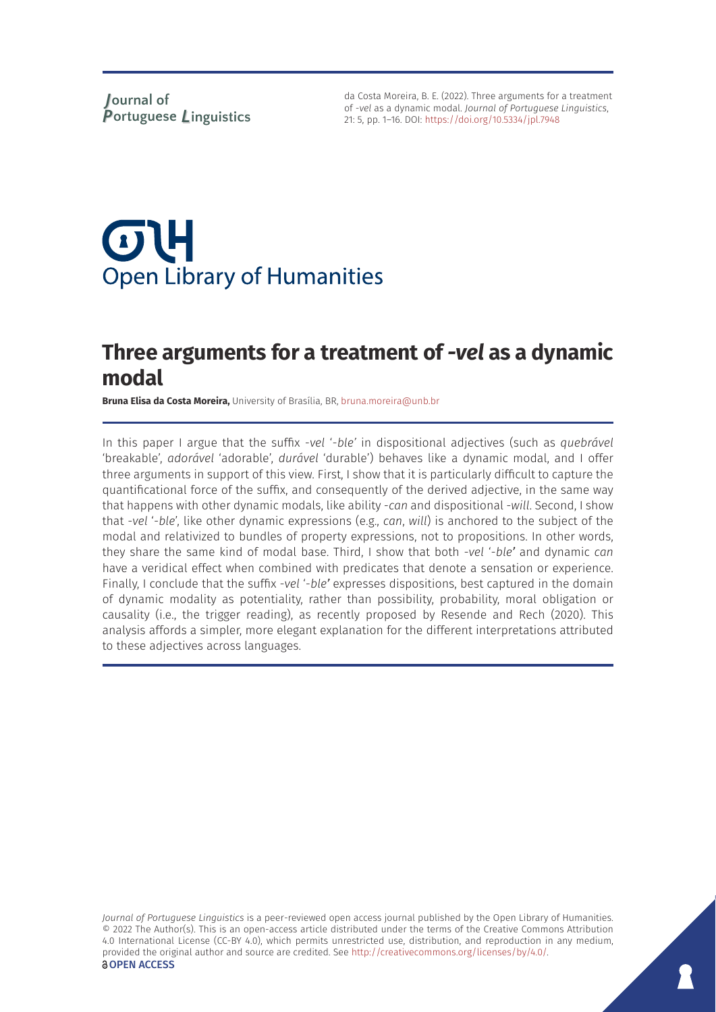da Costa Moreira, B. E. (2022). Three arguments for a treatment of -*vel* as a dynamic modal. *Journal of Portuguese Linguistics*, 21: 5, pp. 1–16. DOI:<https://doi.org/10.5334/jpl.7948>

# $\sigma$ U **Open Library of Humanities**

## **Three arguments for a treatment of** *-vel* **as a dynamic modal**

**Bruna Elisa da Costa Moreira,** University of Brasília, BR, [bruna.moreira@unb.br](mailto:bruna.moreira@unb.br)

In this paper I argue that the suffix -*vel* '-*ble'* in dispositional adjectives (such as *quebrável* 'breakable', *adorável* 'adorable', *durável* 'durable') behaves like a dynamic modal, and I offer three arguments in support of this view. First, I show that it is particularly difficult to capture the quantificational force of the suffix, and consequently of the derived adjective, in the same way that happens with other dynamic modals, like ability -*can* and dispositional -*will*. Second, I show that -*vel* '-*ble*', like other dynamic expressions (e.g., *can*, *will*) is anchored to the subject of the modal and relativized to bundles of property expressions, not to propositions. In other words, they share the same kind of modal base. Third, I show that both -*vel* '-*ble'* and dynamic *can* have a veridical effect when combined with predicates that denote a sensation or experience. Finally, I conclude that the suffix -*vel* '-*ble'* expresses dispositions, best captured in the domain of dynamic modality as potentiality, rather than possibility, probability, moral obligation or causality (i.e., the trigger reading), as recently proposed by Resende and Rech (2020). This analysis affords a simpler, more elegant explanation for the different interpretations attributed to these adjectives across languages.

*Journal of Portuguese Linguistics* is a peer-reviewed open access journal published by the Open Library of Humanities. © 2022 The Author(s). This is an open-access article distributed under the terms of the Creative Commons Attribution 4.0 International License (CC-BY 4.0), which permits unrestricted use, distribution, and reproduction in any medium, provided the original author and source are credited. See [http://creativecommons.org/licenses/by/4.0/.](http://creativecommons.org/licenses/by/4.0/) *<u>OOPEN</u>* ACCESS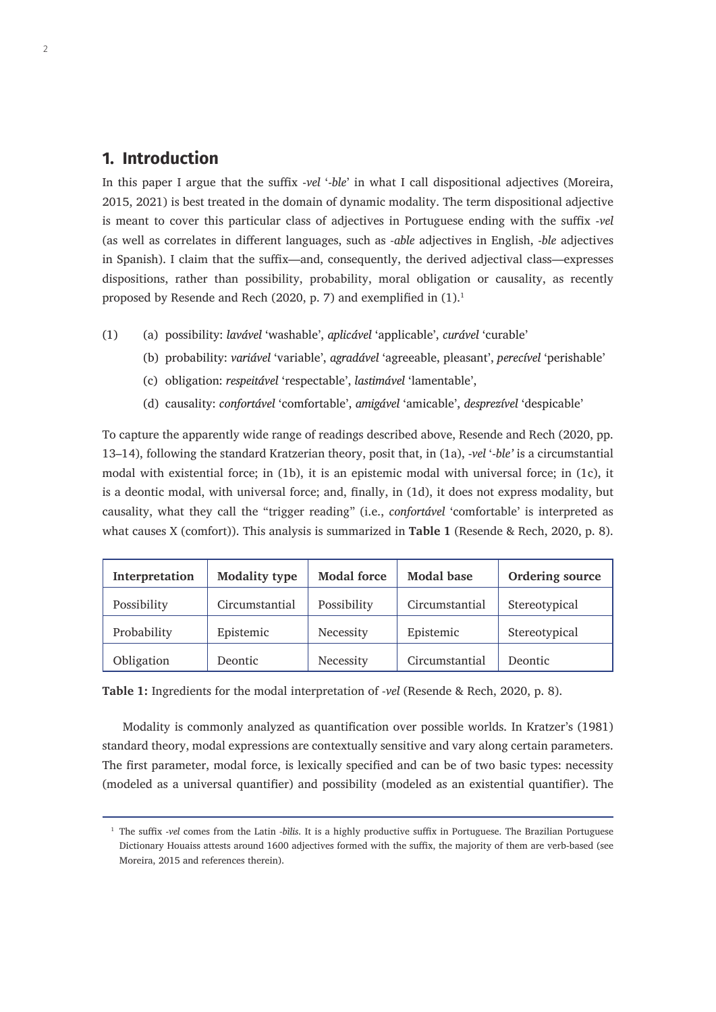## **1. Introduction**

In this paper I argue that the suffix -*vel* '-*ble*' in what I call dispositional adjectives (Moreira, 2015, 2021) is best treated in the domain of dynamic modality. The term dispositional adjective is meant to cover this particular class of adjectives in Portuguese ending with the suffix -*vel*  (as well as correlates in different languages, such as *-able* adjectives in English, -*ble* adjectives in Spanish). I claim that the suffix—and, consequently, the derived adjectival class—expresses dispositions, rather than possibility, probability, moral obligation or causality, as recently proposed by Resende and Rech (2020, p. 7) and exemplified in  $(1).<sup>1</sup>$ 

- (1) (a) possibility: *lavável* 'washable', *aplicável* 'applicable', *curável* 'curable'
	- (b) probability: *variável* 'variable', *agradável* 'agreeable, pleasant', *perecível* 'perishable'
	- (c) obligation: *respeitável* 'respectable', *lastimável* 'lamentable',
	- (d) causality: *confortável* 'comfortable', *amigável* 'amicable', *desprezível* 'despicable'

To capture the apparently wide range of readings described above, Resende and Rech (2020, pp. 13–14), following the standard Kratzerian theory, posit that, in (1a), -*vel* '-*ble'* is a circumstantial modal with existential force; in (1b), it is an epistemic modal with universal force; in (1c), it is a deontic modal, with universal force; and, finally, in (1d), it does not express modality, but causality, what they call the "trigger reading" (i.e., *confortável* 'comfortable' is interpreted as what causes X (comfort)). This analysis is summarized in **Table 1** (Resende & Rech, 2020, p. 8).

| Interpretation | <b>Modality type</b> | <b>Modal force</b> | <b>Modal base</b> | Ordering source |
|----------------|----------------------|--------------------|-------------------|-----------------|
| Possibility    | Circumstantial       | Possibility        | Circumstantial    | Stereotypical   |
| Probability    | Epistemic            | Necessity          | Epistemic         | Stereotypical   |
| Obligation     | <b>Deontic</b>       | Necessity          | Circumstantial    | Deontic         |

**Table 1:** Ingredients for the modal interpretation of *-vel* (Resende & Rech, 2020, p. 8).

Modality is commonly analyzed as quantification over possible worlds. In Kratzer's (1981) standard theory, modal expressions are contextually sensitive and vary along certain parameters. The first parameter, modal force, is lexically specified and can be of two basic types: necessity (modeled as a universal quantifier) and possibility (modeled as an existential quantifier). The

<sup>1</sup> The suffix -*vel* comes from the Latin *-bìlis*. It is a highly productive suffix in Portuguese. The Brazilian Portuguese Dictionary Houaiss attests around 1600 adjectives formed with the suffix, the majority of them are verb-based (see Moreira, 2015 and references therein).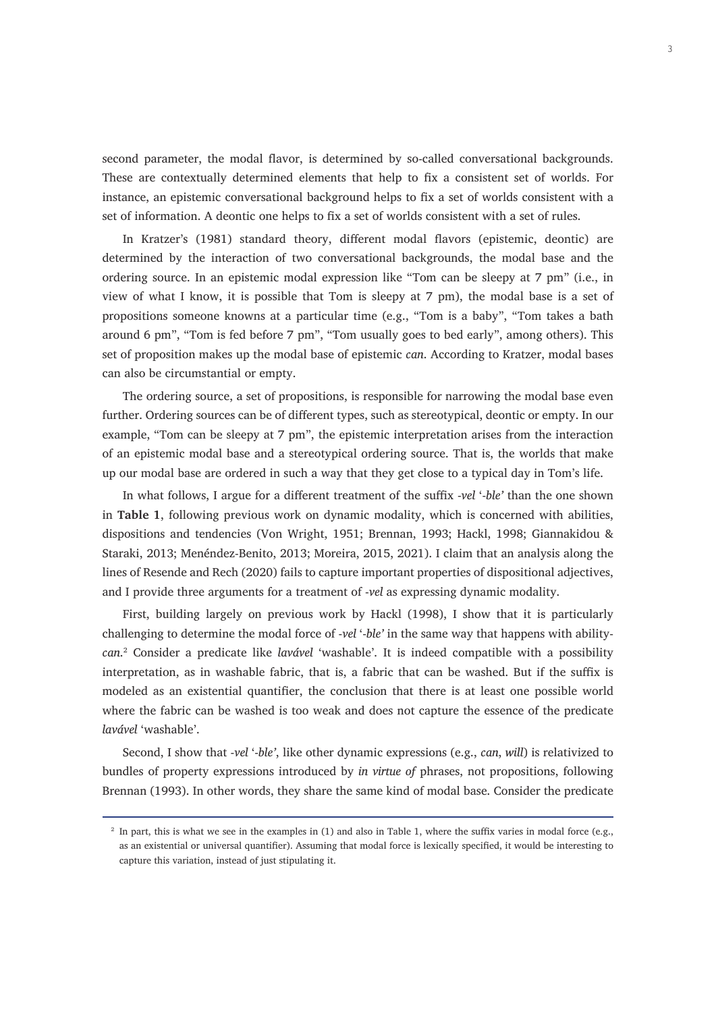second parameter, the modal flavor, is determined by so-called conversational backgrounds. These are contextually determined elements that help to fix a consistent set of worlds. For instance, an epistemic conversational background helps to fix a set of worlds consistent with a set of information. A deontic one helps to fix a set of worlds consistent with a set of rules.

In Kratzer's (1981) standard theory, different modal flavors (epistemic, deontic) are determined by the interaction of two conversational backgrounds, the modal base and the ordering source. In an epistemic modal expression like "Tom can be sleepy at 7 pm" (i.e., in view of what I know, it is possible that Tom is sleepy at 7 pm), the modal base is a set of propositions someone knowns at a particular time (e.g., "Tom is a baby", "Tom takes a bath around 6 pm", "Tom is fed before 7 pm", "Tom usually goes to bed early", among others). This set of proposition makes up the modal base of epistemic *can*. According to Kratzer, modal bases can also be circumstantial or empty.

The ordering source, a set of propositions, is responsible for narrowing the modal base even further. Ordering sources can be of different types, such as stereotypical, deontic or empty. In our example, "Tom can be sleepy at 7 pm", the epistemic interpretation arises from the interaction of an epistemic modal base and a stereotypical ordering source. That is, the worlds that make up our modal base are ordered in such a way that they get close to a typical day in Tom's life.

In what follows, I argue for a different treatment of the suffix -*vel* '-*ble'* than the one shown in **Table 1**, following previous work on dynamic modality, which is concerned with abilities, dispositions and tendencies (Von Wright, 1951; Brennan, 1993; Hackl, 1998; Giannakidou & Staraki, 2013; Menéndez-Benito, 2013; Moreira, 2015, 2021). I claim that an analysis along the lines of Resende and Rech (2020) fails to capture important properties of dispositional adjectives, and I provide three arguments for a treatment of -*vel* as expressing dynamic modality.

First, building largely on previous work by Hackl (1998), I show that it is particularly challenging to determine the modal force of -*vel* '-*ble'* in the same way that happens with ability*can*. 2 Consider a predicate like *lavável* 'washable'. It is indeed compatible with a possibility interpretation, as in washable fabric, that is, a fabric that can be washed. But if the suffix is modeled as an existential quantifier, the conclusion that there is at least one possible world where the fabric can be washed is too weak and does not capture the essence of the predicate *lavável* 'washable'.

Second, I show that -*vel* '-*ble'*, like other dynamic expressions (e.g., *can*, *will*) is relativized to bundles of property expressions introduced by *in virtue of* phrases, not propositions, following Brennan (1993). In other words, they share the same kind of modal base. Consider the predicate

<sup>&</sup>lt;sup>2</sup> In part, this is what we see in the examples in (1) and also in Table 1, where the suffix varies in modal force (e.g., as an existential or universal quantifier). Assuming that modal force is lexically specified, it would be interesting to capture this variation, instead of just stipulating it.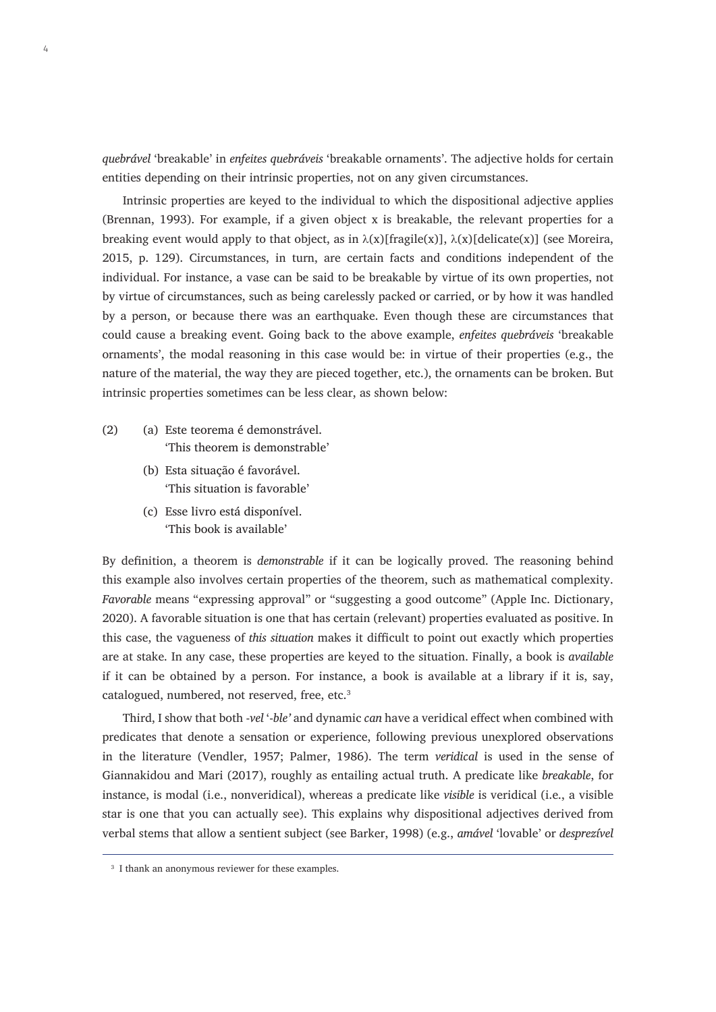*quebrável* 'breakable' in *enfeites quebráveis* 'breakable ornaments'. The adjective holds for certain entities depending on their intrinsic properties, not on any given circumstances.

Intrinsic properties are keyed to the individual to which the dispositional adjective applies (Brennan, 1993). For example, if a given object x is breakable, the relevant properties for a breaking event would apply to that object, as in  $\lambda(x)[fragile(x)], \lambda(x)[delicate(x)]$  (see Moreira, 2015, p. 129). Circumstances, in turn, are certain facts and conditions independent of the individual. For instance, a vase can be said to be breakable by virtue of its own properties, not by virtue of circumstances, such as being carelessly packed or carried, or by how it was handled by a person, or because there was an earthquake. Even though these are circumstances that could cause a breaking event. Going back to the above example, *enfeites quebráveis* 'breakable ornaments', the modal reasoning in this case would be: in virtue of their properties (e.g., the nature of the material, the way they are pieced together, etc.), the ornaments can be broken. But intrinsic properties sometimes can be less clear, as shown below:

- (2) (a) Este teorema é demonstrável. 'This theorem is demonstrable'
	- (b) Esta situação é favorável. 'This situation is favorable'
	- (c) Esse livro está disponível. 'This book is available'

By definition, a theorem is *demonstrable* if it can be logically proved. The reasoning behind this example also involves certain properties of the theorem, such as mathematical complexity. *Favorable* means "expressing approval" or "suggesting a good outcome" (Apple Inc. Dictionary, 2020). A favorable situation is one that has certain (relevant) properties evaluated as positive. In this case, the vagueness of *this situation* makes it difficult to point out exactly which properties are at stake. In any case, these properties are keyed to the situation. Finally, a book is *available* if it can be obtained by a person. For instance, a book is available at a library if it is, say, catalogued, numbered, not reserved, free, etc.<sup>3</sup>

Third, I show that both -*vel* '-*ble'* and dynamic *can* have a veridical effect when combined with predicates that denote a sensation or experience, following previous unexplored observations in the literature (Vendler, 1957; Palmer, 1986). The term *veridical* is used in the sense of Giannakidou and Mari (2017), roughly as entailing actual truth. A predicate like *breakable*, for instance, is modal (i.e., nonveridical), whereas a predicate like *visible* is veridical (i.e., a visible star is one that you can actually see). This explains why dispositional adjectives derived from verbal stems that allow a sentient subject (see Barker, 1998) (e.g., *amável* 'lovable' or *desprezível* 

<sup>&</sup>lt;sup>3</sup> I thank an anonymous reviewer for these examples.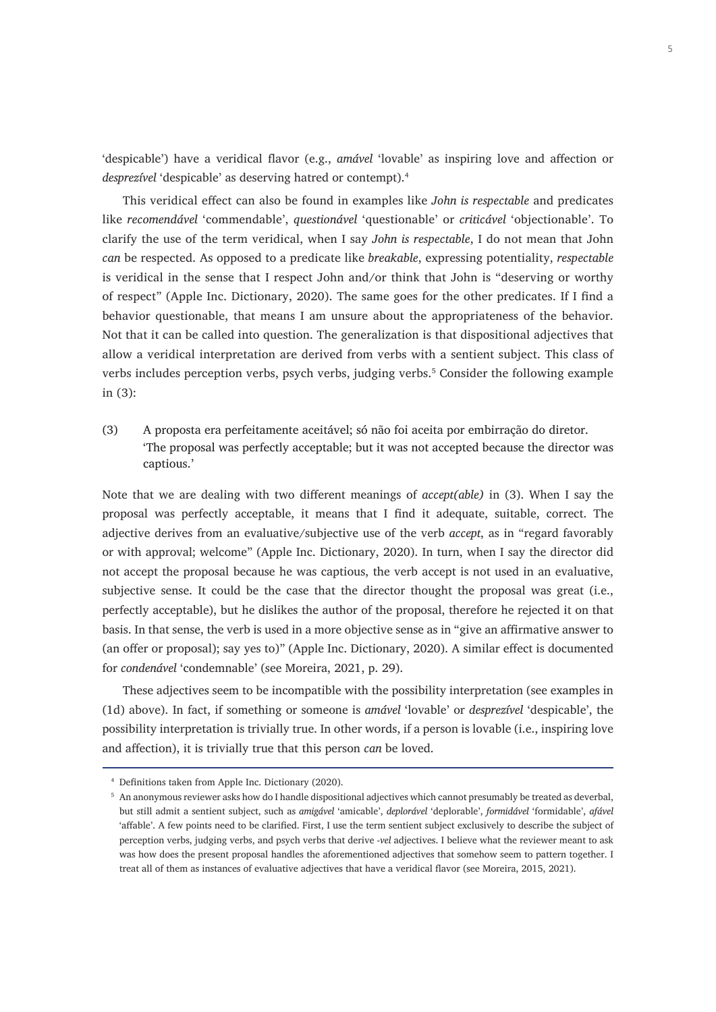'despicable') have a veridical flavor (e.g., *amável* 'lovable' as inspiring love and affection or *desprezível* 'despicable' as deserving hatred or contempt).4

This veridical effect can also be found in examples like *John is respectable* and predicates like *recomendável* 'commendable', *questionável* 'questionable' or *criticável* 'objectionable'. To clarify the use of the term veridical, when I say *John is respectable*, I do not mean that John *can* be respected. As opposed to a predicate like *breakable*, expressing potentiality, *respectable* is veridical in the sense that I respect John and/or think that John is "deserving or worthy of respect" (Apple Inc. Dictionary, 2020). The same goes for the other predicates. If I find a behavior questionable, that means I am unsure about the appropriateness of the behavior. Not that it can be called into question. The generalization is that dispositional adjectives that allow a veridical interpretation are derived from verbs with a sentient subject. This class of verbs includes perception verbs, psych verbs, judging verbs.<sup>5</sup> Consider the following example in (3):

(3) A proposta era perfeitamente aceitável; só não foi aceita por embirração do diretor. 'The proposal was perfectly acceptable; but it was not accepted because the director was captious.'

Note that we are dealing with two different meanings of *accept(able)* in (3). When I say the proposal was perfectly acceptable, it means that I find it adequate, suitable, correct. The adjective derives from an evaluative/subjective use of the verb *accept*, as in "regard favorably or with approval; welcome" (Apple Inc. Dictionary, 2020). In turn, when I say the director did not accept the proposal because he was captious, the verb accept is not used in an evaluative, subjective sense. It could be the case that the director thought the proposal was great (i.e., perfectly acceptable), but he dislikes the author of the proposal, therefore he rejected it on that basis. In that sense, the verb is used in a more objective sense as in "give an affirmative answer to (an offer or proposal); say yes to)" (Apple Inc. Dictionary, 2020). A similar effect is documented for *condenável* 'condemnable' (see Moreira, 2021, p. 29).

These adjectives seem to be incompatible with the possibility interpretation (see examples in (1d) above). In fact, if something or someone is *amável* 'lovable' or *desprezível* 'despicable', the possibility interpretation is trivially true. In other words, if a person is lovable (i.e., inspiring love and affection), it is trivially true that this person *can* be loved.

<sup>4</sup> Definitions taken from Apple Inc. Dictionary (2020).

<sup>5</sup> An anonymous reviewer asks how do I handle dispositional adjectives which cannot presumably be treated as deverbal, but still admit a sentient subject, such as *amigável* 'amicable', *deplorável* 'deplorable', *formidável* 'formidable', *afável* 'affable'. A few points need to be clarified. First, I use the term sentient subject exclusively to describe the subject of perception verbs, judging verbs, and psych verbs that derive -*vel* adjectives. I believe what the reviewer meant to ask was how does the present proposal handles the aforementioned adjectives that somehow seem to pattern together. I treat all of them as instances of evaluative adjectives that have a veridical flavor (see Moreira, 2015, 2021).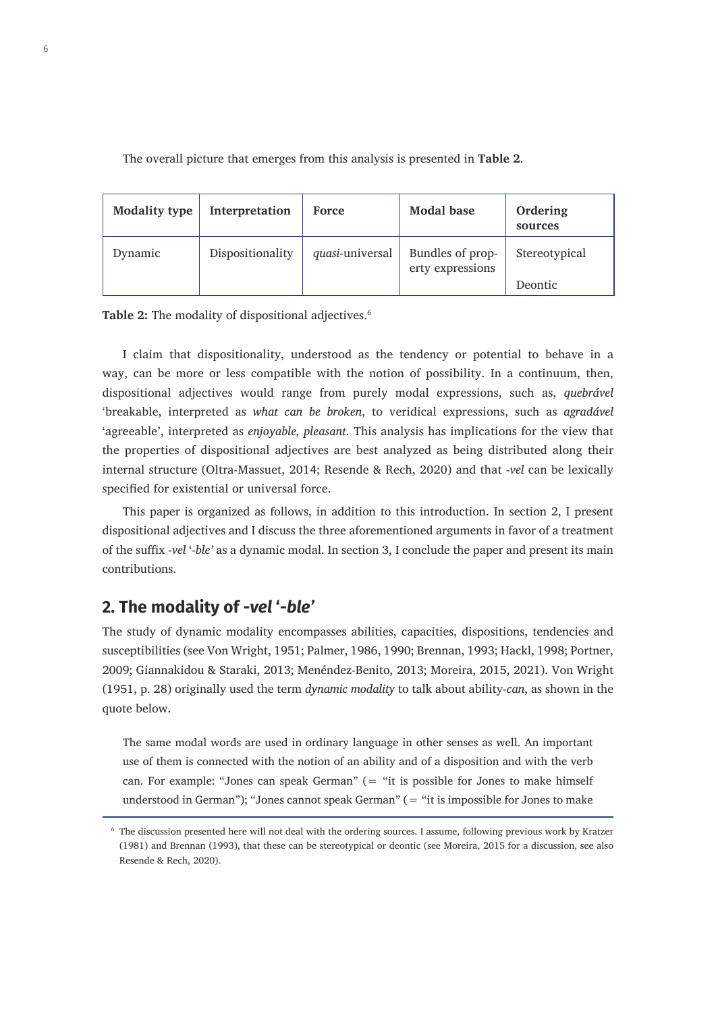The overall picture that emerges from this analysis is presented in **Table 2**. 6

| <b>Modality type</b> | Interpretation   | <b>Force</b>    | <b>Modal base</b>                    | Ordering<br>sources |
|----------------------|------------------|-----------------|--------------------------------------|---------------------|
| Dynamic              | Dispositionality | quasi-universal | Bundles of prop-<br>erty expressions | Stereotypical       |
|                      |                  |                 |                                      | Deontic             |

Table 2: The modality of dispositional adjectives.<sup>6</sup>

I claim that dispositionality, understood as the tendency or potential to behave in a way, can be more or less compatible with the notion of possibility. In a continuum, then, dispositional adjectives would range from purely modal expressions, such as, *quebrável*  'breakable, interpreted as *what can be broken*, to veridical expressions, such as *agradável*  'agreeable', interpreted as *enjoyable, pleasant*. This analysis has implications for the view that the properties of dispositional adjectives are best analyzed as being distributed along their internal structure (Oltra-Massuet, 2014; Resende & Rech, 2020) and that -*vel* can be lexically specified for existential or universal force.

This paper is organized as follows, in addition to this introduction. In section 2, I present dispositional adjectives and I discuss the three aforementioned arguments in favor of a treatment of the suffix -*vel* '-*ble'* as a dynamic modal. In section 3, I conclude the paper and present its main contributions.

## **2. The modality of** *-vel* **'-***ble'*

The study of dynamic modality encompasses abilities, capacities, dispositions, tendencies and susceptibilities (see Von Wright, 1951; Palmer, 1986, 1990; Brennan, 1993; Hackl, 1998; Portner, 2009; Giannakidou & Staraki, 2013; Menéndez-Benito, 2013; Moreira, 2015, 2021). Von Wright (1951, p. 28) originally used the term *dynamic modality* to talk about ability-*can*, as shown in the quote below.

The same modal words are used in ordinary language in other senses as well. An important use of them is connected with the notion of an ability and of a disposition and with the verb can. For example: "Jones can speak German" (= "it is possible for Jones to make himself understood in German"); "Jones cannot speak German" (= "it is impossible for Jones to make

<sup>6</sup> The discussion presented here will not deal with the ordering sources. I assume, following previous work by Kratzer (1981) and Brennan (1993), that these can be stereotypical or deontic (see Moreira, 2015 for a discussion, see also Resende & Rech, 2020).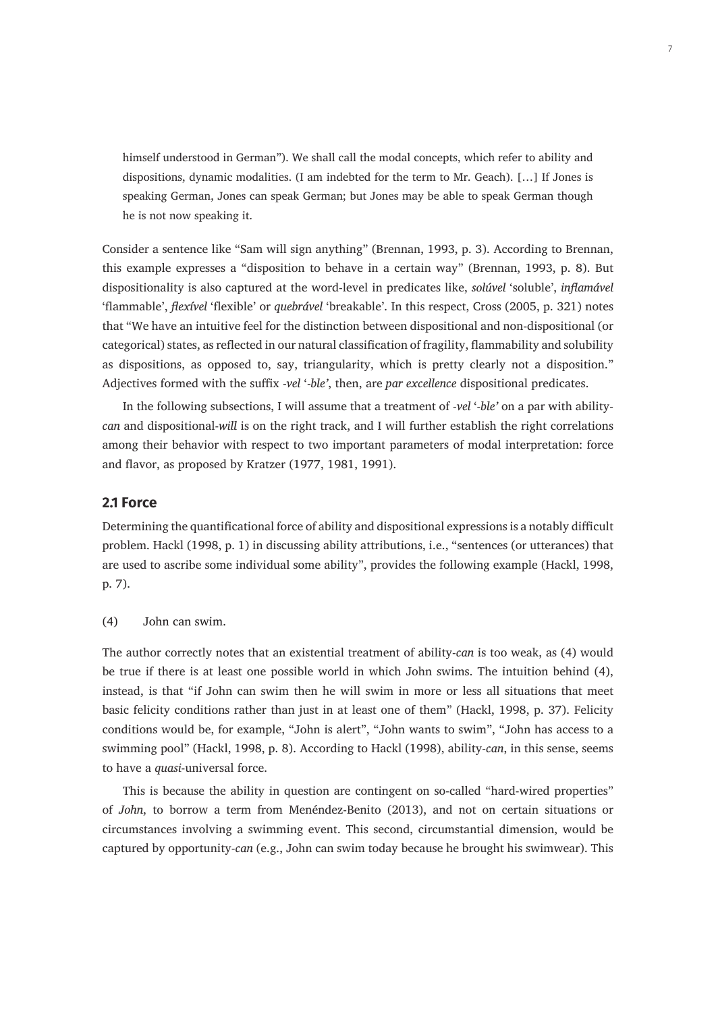himself understood in German"). We shall call the modal concepts, which refer to ability and dispositions, dynamic modalities. (I am indebted for the term to Mr. Geach). […] If Jones is speaking German, Jones can speak German; but Jones may be able to speak German though he is not now speaking it.

Consider a sentence like "Sam will sign anything" (Brennan, 1993, p. 3). According to Brennan, this example expresses a "disposition to behave in a certain way" (Brennan, 1993, p. 8). But dispositionality is also captured at the word-level in predicates like, *solúvel* 'soluble', *inflamável* 'flammable', *flexível* 'flexible' or *quebrável* 'breakable'. In this respect, Cross (2005, p. 321) notes that "We have an intuitive feel for the distinction between dispositional and non-dispositional (or categorical) states, as reflected in our natural classification of fragility, flammability and solubility as dispositions, as opposed to, say, triangularity, which is pretty clearly not a disposition." Adjectives formed with the suffix -*vel* '-*ble'*, then, are *par excellence* dispositional predicates.

In the following subsections, I will assume that a treatment of -*vel* '-*ble'* on a par with ability*can* and dispositional-*will* is on the right track, and I will further establish the right correlations among their behavior with respect to two important parameters of modal interpretation: force and flavor, as proposed by Kratzer (1977, 1981, 1991).

#### **2.1 Force**

Determining the quantificational force of ability and dispositional expressions is a notably difficult problem. Hackl (1998, p. 1) in discussing ability attributions, i.e., "sentences (or utterances) that are used to ascribe some individual some ability", provides the following example (Hackl, 1998, p. 7).

(4) John can swim.

The author correctly notes that an existential treatment of ability-*can* is too weak, as (4) would be true if there is at least one possible world in which John swims. The intuition behind (4), instead, is that "if John can swim then he will swim in more or less all situations that meet basic felicity conditions rather than just in at least one of them" (Hackl, 1998, p. 37). Felicity conditions would be, for example, "John is alert", "John wants to swim", "John has access to a swimming pool" (Hackl, 1998, p. 8). According to Hackl (1998), ability-*can*, in this sense, seems to have a *quasi*-universal force.

This is because the ability in question are contingent on so-called "hard-wired properties" of *John*, to borrow a term from Menéndez-Benito (2013), and not on certain situations or circumstances involving a swimming event. This second, circumstantial dimension, would be captured by opportunity-*can* (e.g., John can swim today because he brought his swimwear). This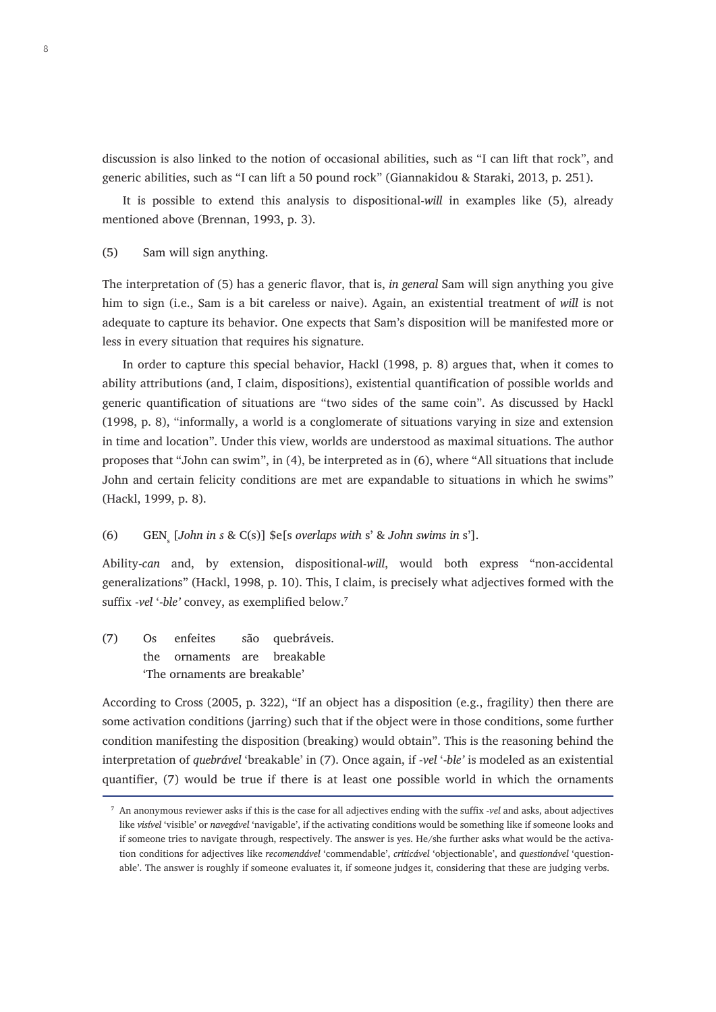discussion is also linked to the notion of occasional abilities, such as "I can lift that rock", and generic abilities, such as "I can lift a 50 pound rock" (Giannakidou & Staraki, 2013, p. 251).

It is possible to extend this analysis to dispositional-*will* in examples like (5), already mentioned above (Brennan, 1993, p. 3).

#### (5) Sam will sign anything.

The interpretation of (5) has a generic flavor, that is, *in general* Sam will sign anything you give him to sign (i.e., Sam is a bit careless or naive). Again, an existential treatment of *will* is not adequate to capture its behavior. One expects that Sam's disposition will be manifested more or less in every situation that requires his signature.

In order to capture this special behavior, Hackl (1998, p. 8) argues that, when it comes to ability attributions (and, I claim, dispositions), existential quantification of possible worlds and generic quantification of situations are "two sides of the same coin". As discussed by Hackl (1998, p. 8), "informally, a world is a conglomerate of situations varying in size and extension in time and location". Under this view, worlds are understood as maximal situations. The author proposes that "John can swim", in (4), be interpreted as in (6), where "All situations that include John and certain felicity conditions are met are expandable to situations in which he swims" (Hackl, 1999, p. 8).

#### (6) GEN<sup>s</sup> [*John in s* & C(s)] \$e[s *overlaps with* s' & *John swims in* s'].

Ability-*can* and, by extension, dispositional-*will*, would both express "non-accidental generalizations" (Hackl, 1998, p. 10). This, I claim, is precisely what adjectives formed with the suffix -*vel* '-*ble'* convey, as exemplified below.<sup>7</sup>

(7) Os enfeites são quebráveis. the ornaments are breakable 'The ornaments are breakable'

According to Cross (2005, p. 322), "If an object has a disposition (e.g., fragility) then there are some activation conditions (jarring) such that if the object were in those conditions, some further condition manifesting the disposition (breaking) would obtain". This is the reasoning behind the interpretation of *quebrável* 'breakable' in (7). Once again, if *-vel* '-*ble'* is modeled as an existential quantifier, (7) would be true if there is at least one possible world in which the ornaments

<sup>7</sup> An anonymous reviewer asks if this is the case for all adjectives ending with the suffix *-vel* and asks, about adjectives like *visível* 'visible' or *navegável* 'navigable', if the activating conditions would be something like if someone looks and if someone tries to navigate through, respectively. The answer is yes. He/she further asks what would be the activation conditions for adjectives like *recomendável* 'commendable', *criticável* 'objectionable', and *questionável* 'questionable'. The answer is roughly if someone evaluates it, if someone judges it, considering that these are judging verbs.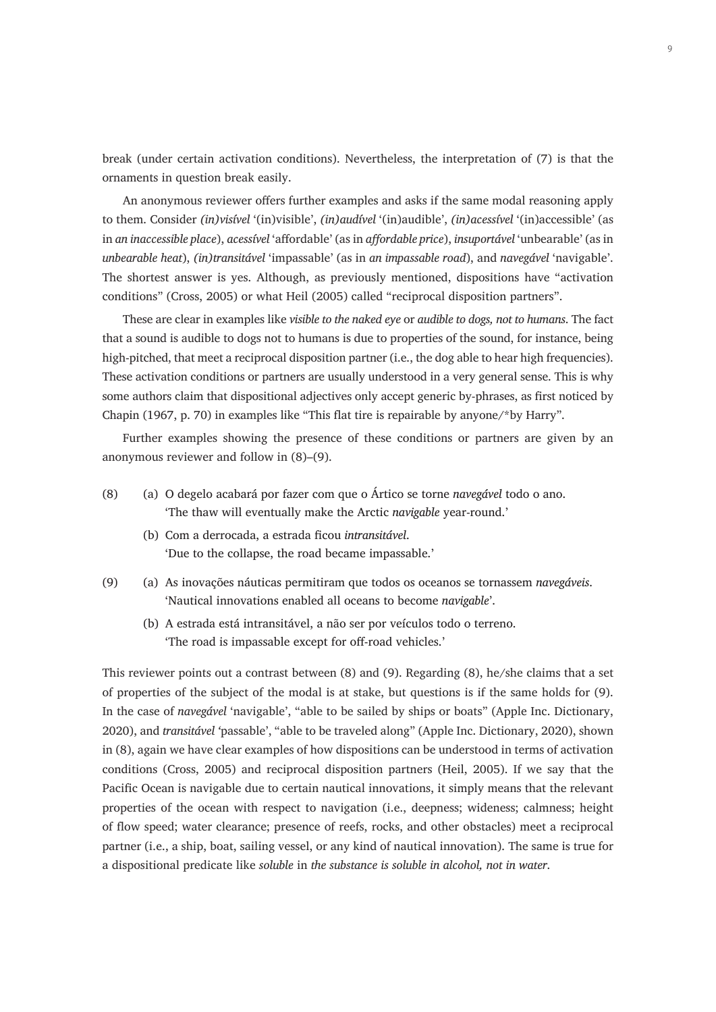break (under certain activation conditions). Nevertheless, the interpretation of (7) is that the ornaments in question break easily.

An anonymous reviewer offers further examples and asks if the same modal reasoning apply to them. Consider *(in)visível* '(in)visible', *(in)audível* '(in)audible', *(in)acessível* '(in)accessible' (as in *an inaccessible place*), *acessível* 'affordable' (as in *affordable price*), *insuportável* 'unbearable' (as in *unbearable heat*), *(in)transitável* 'impassable' (as in *an impassable road*), and *navegável* 'navigable'. The shortest answer is yes. Although, as previously mentioned, dispositions have "activation conditions" (Cross, 2005) or what Heil (2005) called "reciprocal disposition partners".

These are clear in examples like *visible to the naked eye* or *audible to dogs, not to humans*. The fact that a sound is audible to dogs not to humans is due to properties of the sound, for instance, being high-pitched, that meet a reciprocal disposition partner (i.e., the dog able to hear high frequencies). These activation conditions or partners are usually understood in a very general sense. This is why some authors claim that dispositional adjectives only accept generic by-phrases, as first noticed by Chapin (1967, p. 70) in examples like "This flat tire is repairable by anyone/\*by Harry".

Further examples showing the presence of these conditions or partners are given by an anonymous reviewer and follow in (8)–(9).

- (8) (a) O degelo acabará por fazer com que o Ártico se torne *navegável* todo o ano. 'The thaw will eventually make the Arctic *navigable* year-round.'
	- (b) Com a derrocada, a estrada ficou *intransitável*. 'Due to the collapse, the road became impassable.'
- (9) (a) As inovações náuticas permitiram que todos os oceanos se tornassem *navegáveis*. 'Nautical innovations enabled all oceans to become *navigable*'.
	- (b) A estrada está intransitável, a não ser por veículos todo o terreno. 'The road is impassable except for off-road vehicles.'

This reviewer points out a contrast between (8) and (9). Regarding (8), he/she claims that a set of properties of the subject of the modal is at stake, but questions is if the same holds for (9). In the case of *navegável* 'navigable', "able to be sailed by ships or boats" (Apple Inc. Dictionary, 2020), and *transitável '*passable', "able to be traveled along" (Apple Inc. Dictionary, 2020), shown in (8), again we have clear examples of how dispositions can be understood in terms of activation conditions (Cross, 2005) and reciprocal disposition partners (Heil, 2005). If we say that the Pacific Ocean is navigable due to certain nautical innovations, it simply means that the relevant properties of the ocean with respect to navigation (i.e., deepness; wideness; calmness; height of flow speed; water clearance; presence of reefs, rocks, and other obstacles) meet a reciprocal partner (i.e., a ship, boat, sailing vessel, or any kind of nautical innovation). The same is true for a dispositional predicate like *soluble* in *the substance is soluble in alcohol, not in water*.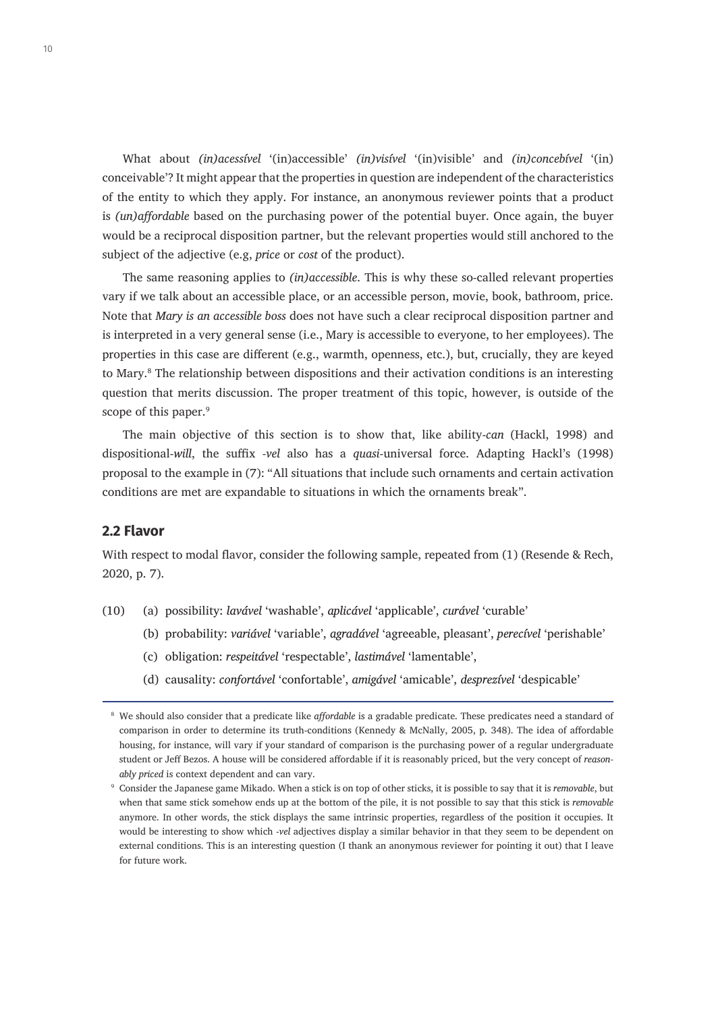What about *(in)acessível* '(in)accessible' *(in)visível* '(in)visible' and *(in)concebível* '(in) conceivable'? It might appear that the properties in question are independent of the characteristics of the entity to which they apply. For instance, an anonymous reviewer points that a product is *(un)affordable* based on the purchasing power of the potential buyer. Once again, the buyer would be a reciprocal disposition partner, but the relevant properties would still anchored to the subject of the adjective (e.g, *price* or *cost* of the product).

The same reasoning applies to *(in)accessible*. This is why these so-called relevant properties vary if we talk about an accessible place, or an accessible person, movie, book, bathroom, price. Note that *Mary is an accessible boss* does not have such a clear reciprocal disposition partner and is interpreted in a very general sense (i.e., Mary is accessible to everyone, to her employees). The properties in this case are different (e.g., warmth, openness, etc.), but, crucially, they are keyed to Mary.<sup>8</sup> The relationship between dispositions and their activation conditions is an interesting question that merits discussion. The proper treatment of this topic, however, is outside of the scope of this paper.<sup>9</sup>

The main objective of this section is to show that, like ability-*can* (Hackl, 1998) and dispositional-*will*, the suffix *-vel* also has a *quasi*-universal force. Adapting Hackl's (1998) proposal to the example in (7): "All situations that include such ornaments and certain activation conditions are met are expandable to situations in which the ornaments break".

#### **2.2 Flavor**

With respect to modal flavor, consider the following sample, repeated from (1) (Resende & Rech, 2020, p. 7).

- (10) (a) possibility: *lavável* 'washable', *aplicável* 'applicable', *curável* 'curable'
	- (b) probability: *variável* 'variable', *agradável* 'agreeable, pleasant', *perecível* 'perishable'
	- (c) obligation: *respeitável* 'respectable', *lastimável* 'lamentable',
	- (d) causality: *confortável* 'confortable', *amigável* 'amicable', *desprezível* 'despicable'

<sup>8</sup> We should also consider that a predicate like *affordable* is a gradable predicate. These predicates need a standard of comparison in order to determine its truth-conditions (Kennedy & McNally, 2005, p. 348). The idea of affordable housing, for instance, will vary if your standard of comparison is the purchasing power of a regular undergraduate student or Jeff Bezos. A house will be considered affordable if it is reasonably priced, but the very concept of *reasonably priced* is context dependent and can vary.

<sup>9</sup> Consider the Japanese game Mikado. When a stick is on top of other sticks, it is possible to say that it is *removable*, but when that same stick somehow ends up at the bottom of the pile, it is not possible to say that this stick is *removable* anymore. In other words, the stick displays the same intrinsic properties, regardless of the position it occupies. It would be interesting to show which -*vel* adjectives display a similar behavior in that they seem to be dependent on external conditions. This is an interesting question (I thank an anonymous reviewer for pointing it out) that I leave for future work.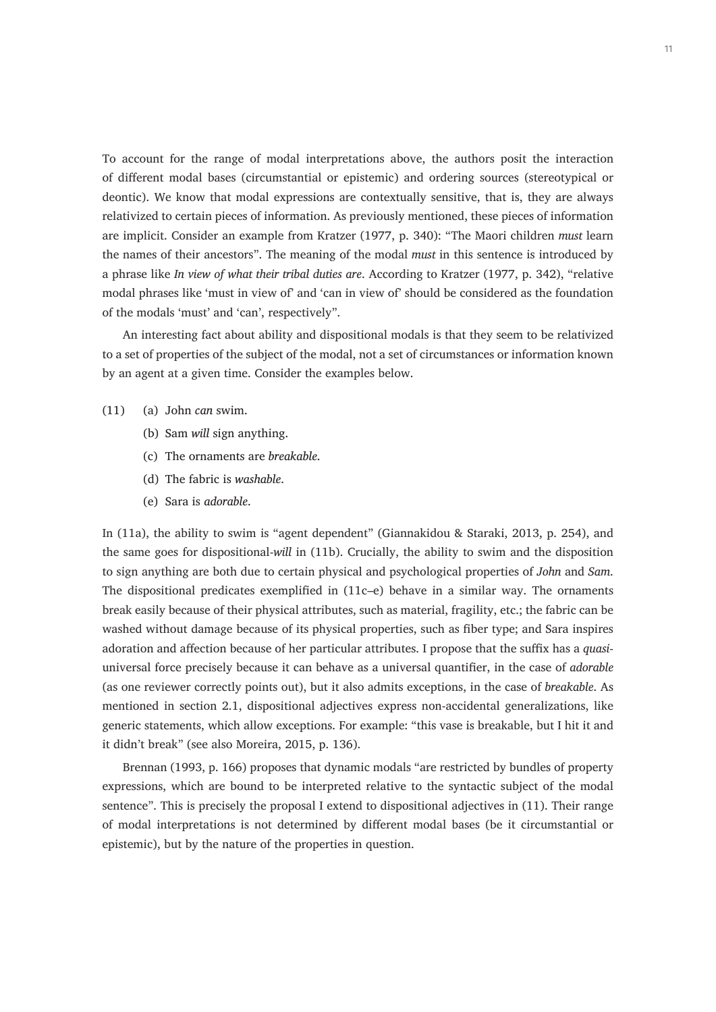To account for the range of modal interpretations above, the authors posit the interaction of different modal bases (circumstantial or epistemic) and ordering sources (stereotypical or deontic). We know that modal expressions are contextually sensitive, that is, they are always relativized to certain pieces of information. As previously mentioned, these pieces of information are implicit. Consider an example from Kratzer (1977, p. 340): "The Maori children *must* learn the names of their ancestors". The meaning of the modal *must* in this sentence is introduced by a phrase like *In view of what their tribal duties are*. According to Kratzer (1977, p. 342), "relative modal phrases like 'must in view of' and 'can in view of' should be considered as the foundation of the modals 'must' and 'can', respectively".

An interesting fact about ability and dispositional modals is that they seem to be relativized to a set of properties of the subject of the modal, not a set of circumstances or information known by an agent at a given time. Consider the examples below.

- (11) (a) John *can* swim.
	- (b) Sam *will* sign anything.
	- (c) The ornaments are *breakable*.
	- (d) The fabric is *washable*.
	- (e) Sara is *adorable*.

In (11a), the ability to swim is "agent dependent" (Giannakidou & Staraki, 2013, p. 254), and the same goes for dispositional-*will* in (11b). Crucially, the ability to swim and the disposition to sign anything are both due to certain physical and psychological properties of *John* and *Sam*. The dispositional predicates exemplified in  $(11c-e)$  behave in a similar way. The ornaments break easily because of their physical attributes, such as material, fragility, etc.; the fabric can be washed without damage because of its physical properties, such as fiber type; and Sara inspires adoration and affection because of her particular attributes. I propose that the suffix has a *quasi*universal force precisely because it can behave as a universal quantifier, in the case of *adorable* (as one reviewer correctly points out), but it also admits exceptions, in the case of *breakable*. As mentioned in section 2.1, dispositional adjectives express non-accidental generalizations, like generic statements, which allow exceptions. For example: "this vase is breakable, but I hit it and it didn't break" (see also Moreira, 2015, p. 136).

Brennan (1993, p. 166) proposes that dynamic modals "are restricted by bundles of property expressions, which are bound to be interpreted relative to the syntactic subject of the modal sentence". This is precisely the proposal I extend to dispositional adjectives in (11). Their range of modal interpretations is not determined by different modal bases (be it circumstantial or epistemic), but by the nature of the properties in question.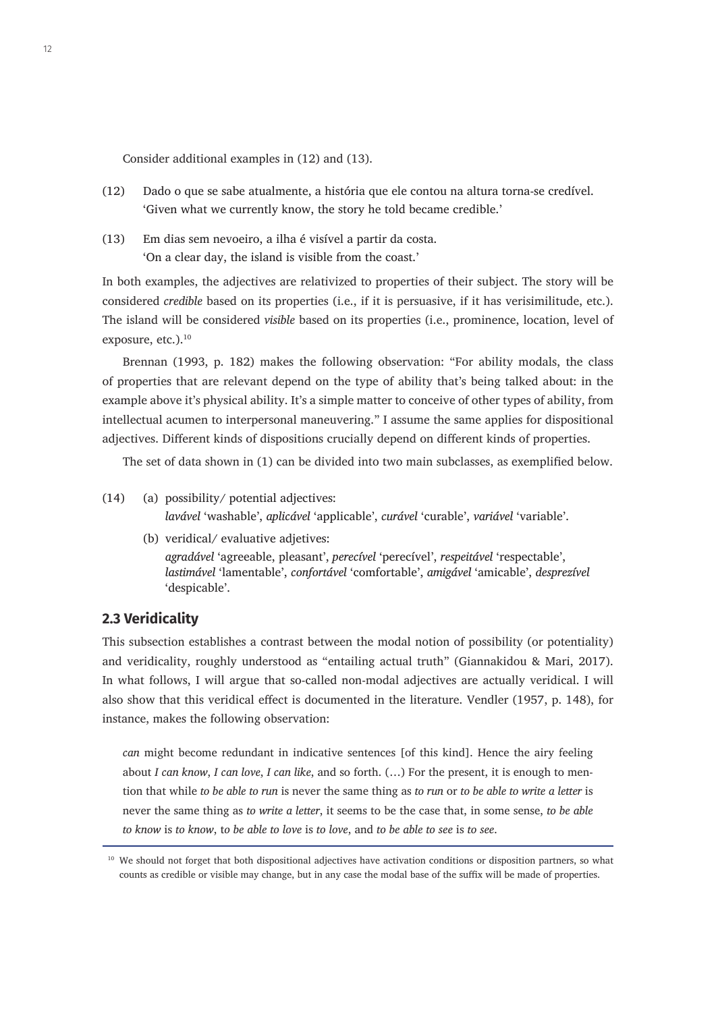Consider additional examples in (12) and (13).

- (12) Dado o que se sabe atualmente, a história que ele contou na altura torna-se credível. 'Given what we currently know, the story he told became credible.'
- (13) Em dias sem nevoeiro, a ilha é visível a partir da costa. 'On a clear day, the island is visible from the coast.'

In both examples, the adjectives are relativized to properties of their subject. The story will be considered *credible* based on its properties (i.e., if it is persuasive, if it has verisimilitude, etc.). The island will be considered *visible* based on its properties (i.e., prominence, location, level of exposure, etc.).<sup>10</sup>

Brennan (1993, p. 182) makes the following observation: "For ability modals, the class of properties that are relevant depend on the type of ability that's being talked about: in the example above it's physical ability. It's a simple matter to conceive of other types of ability, from intellectual acumen to interpersonal maneuvering." I assume the same applies for dispositional adjectives. Different kinds of dispositions crucially depend on different kinds of properties.

The set of data shown in (1) can be divided into two main subclasses, as exemplified below.

- (14) (a) possibility/ potential adjectives: *lavável* 'washable', *aplicável* 'applicable', *curável* 'curable', *variável* 'variable'.
	- (b) veridical/ evaluative adjetives: *agradável* 'agreeable, pleasant', *perecível* 'perecível', *respeitável* 'respectable', *lastimável* 'lamentable', *confortável* 'comfortable', *amigável* 'amicable', *desprezível* 'despicable'.

#### **2.3 Veridicality**

This subsection establishes a contrast between the modal notion of possibility (or potentiality) and veridicality, roughly understood as "entailing actual truth" (Giannakidou & Mari, 2017). In what follows, I will argue that so-called non-modal adjectives are actually veridical. I will also show that this veridical effect is documented in the literature. Vendler (1957, p. 148), for instance, makes the following observation:

*can* might become redundant in indicative sentences [of this kind]. Hence the airy feeling about *I can know*, *I can love*, *I can like*, and so forth. (…) For the present, it is enough to mention that while *to be able to run* is never the same thing as *to run* or *to be able to write a letter* is never the same thing as *to write a letter*, it seems to be the case that, in some sense, *to be able to know* is *to know*, t*o be able to love* is *to love*, and *to be able to see* is *to see*.

<sup>&</sup>lt;sup>10</sup> We should not forget that both dispositional adjectives have activation conditions or disposition partners, so what counts as credible or visible may change, but in any case the modal base of the suffix will be made of properties.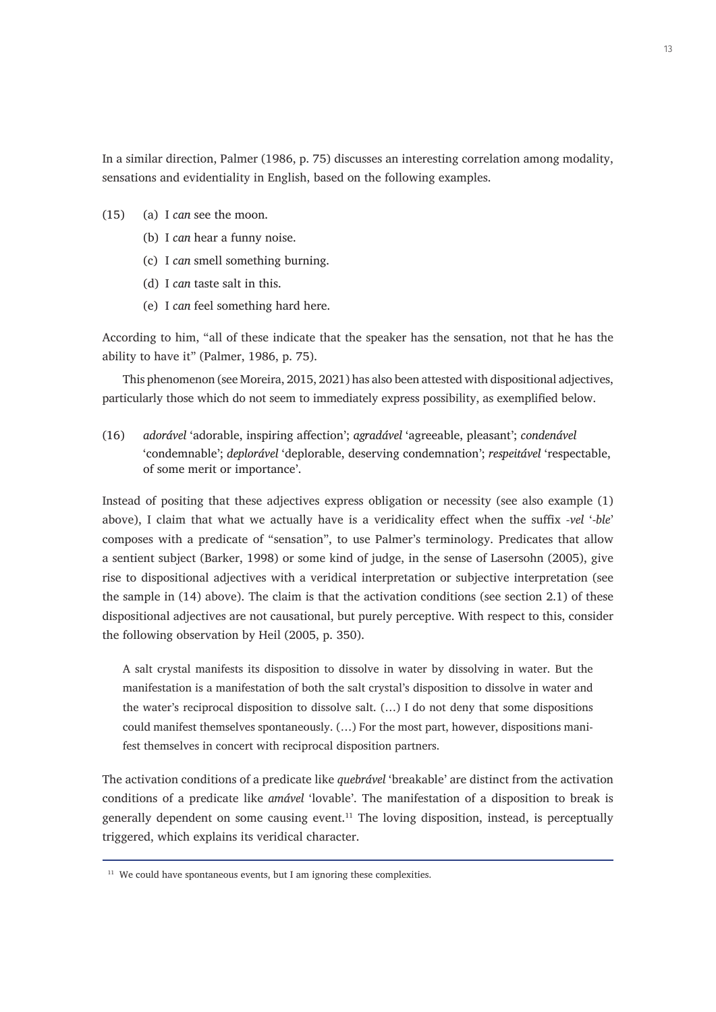In a similar direction, Palmer (1986, p. 75) discusses an interesting correlation among modality, sensations and evidentiality in English, based on the following examples.

- (15) (a) I *can* see the moon.
	- (b) I *can* hear a funny noise.
	- (c) I *can* smell something burning.
	- (d) I *can* taste salt in this.
	- (e) I *can* feel something hard here.

According to him, "all of these indicate that the speaker has the sensation, not that he has the ability to have it" (Palmer, 1986, p. 75).

This phenomenon (see Moreira, 2015, 2021) has also been attested with dispositional adjectives, particularly those which do not seem to immediately express possibility, as exemplified below.

(16) *adorável* 'adorable, inspiring affection'; *agradável* 'agreeable, pleasant'; *condenável* 'condemnable'; *deplorável* 'deplorable, deserving condemnation'; *respeitável* 'respectable, of some merit or importance'.

Instead of positing that these adjectives express obligation or necessity (see also example (1) above), I claim that what we actually have is a veridicality effect when the suffix *-vel* '*-ble*' composes with a predicate of "sensation", to use Palmer's terminology. Predicates that allow a sentient subject (Barker, 1998) or some kind of judge, in the sense of Lasersohn (2005), give rise to dispositional adjectives with a veridical interpretation or subjective interpretation (see the sample in (14) above). The claim is that the activation conditions (see section 2.1) of these dispositional adjectives are not causational, but purely perceptive. With respect to this, consider the following observation by Heil (2005, p. 350).

A salt crystal manifests its disposition to dissolve in water by dissolving in water. But the manifestation is a manifestation of both the salt crystal's disposition to dissolve in water and the water's reciprocal disposition to dissolve salt. (…) I do not deny that some dispositions could manifest themselves spontaneously. (…) For the most part, however, dispositions manifest themselves in concert with reciprocal disposition partners.

The activation conditions of a predicate like *quebrável* 'breakable' are distinct from the activation conditions of a predicate like *amável* 'lovable'. The manifestation of a disposition to break is generally dependent on some causing event.<sup>11</sup> The loving disposition, instead, is perceptually triggered, which explains its veridical character.

 $11$  We could have spontaneous events, but I am ignoring these complexities.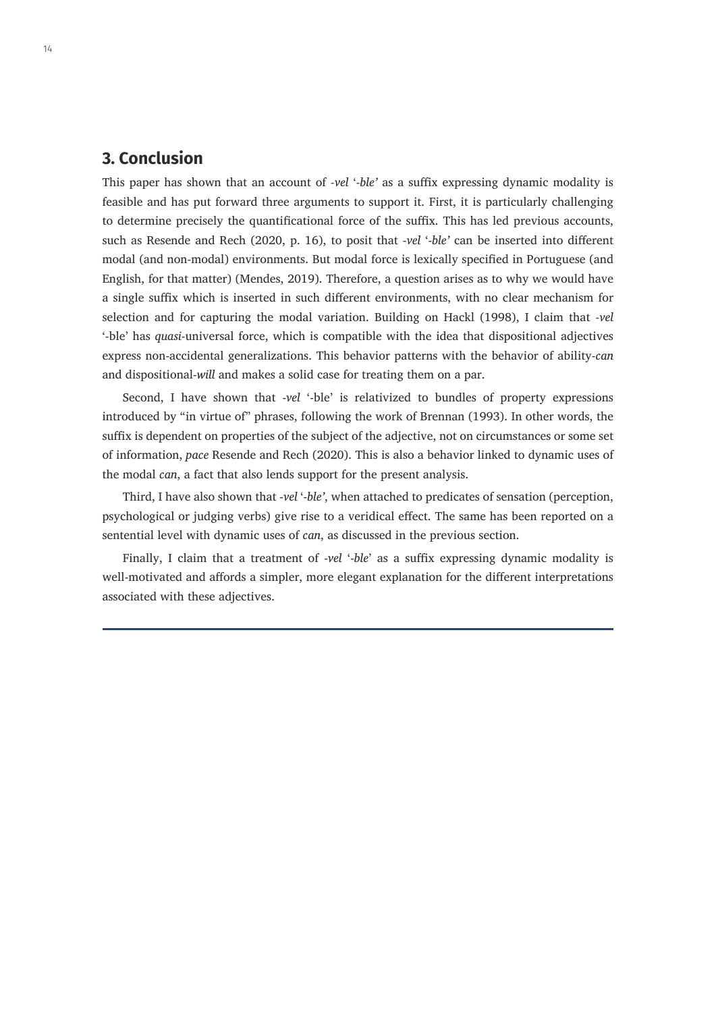## **3. Conclusion**

This paper has shown that an account of *-vel* '-*ble'* as a suffix expressing dynamic modality is feasible and has put forward three arguments to support it. First, it is particularly challenging to determine precisely the quantificational force of the suffix. This has led previous accounts, such as Resende and Rech (2020, p. 16), to posit that -*vel* '-*ble'* can be inserted into different modal (and non-modal) environments. But modal force is lexically specified in Portuguese (and English, for that matter) (Mendes, 2019). Therefore, a question arises as to why we would have a single suffix which is inserted in such different environments, with no clear mechanism for selection and for capturing the modal variation. Building on Hackl (1998), I claim that *-vel*  '-ble' has *quasi*-universal force, which is compatible with the idea that dispositional adjectives express non-accidental generalizations. This behavior patterns with the behavior of ability-*can* and dispositional-*will* and makes a solid case for treating them on a par.

Second, I have shown that -*vel* '-ble' is relativized to bundles of property expressions introduced by "in virtue of" phrases, following the work of Brennan (1993). In other words, the suffix is dependent on properties of the subject of the adjective, not on circumstances or some set of information, *pace* Resende and Rech (2020). This is also a behavior linked to dynamic uses of the modal *can*, a fact that also lends support for the present analysis.

Third, I have also shown that -*vel* '-*ble'*, when attached to predicates of sensation (perception, psychological or judging verbs) give rise to a veridical effect. The same has been reported on a sentential level with dynamic uses of *can*, as discussed in the previous section.

Finally, I claim that a treatment of -*vel* '-*ble*' as a suffix expressing dynamic modality is well-motivated and affords a simpler, more elegant explanation for the different interpretations associated with these adjectives.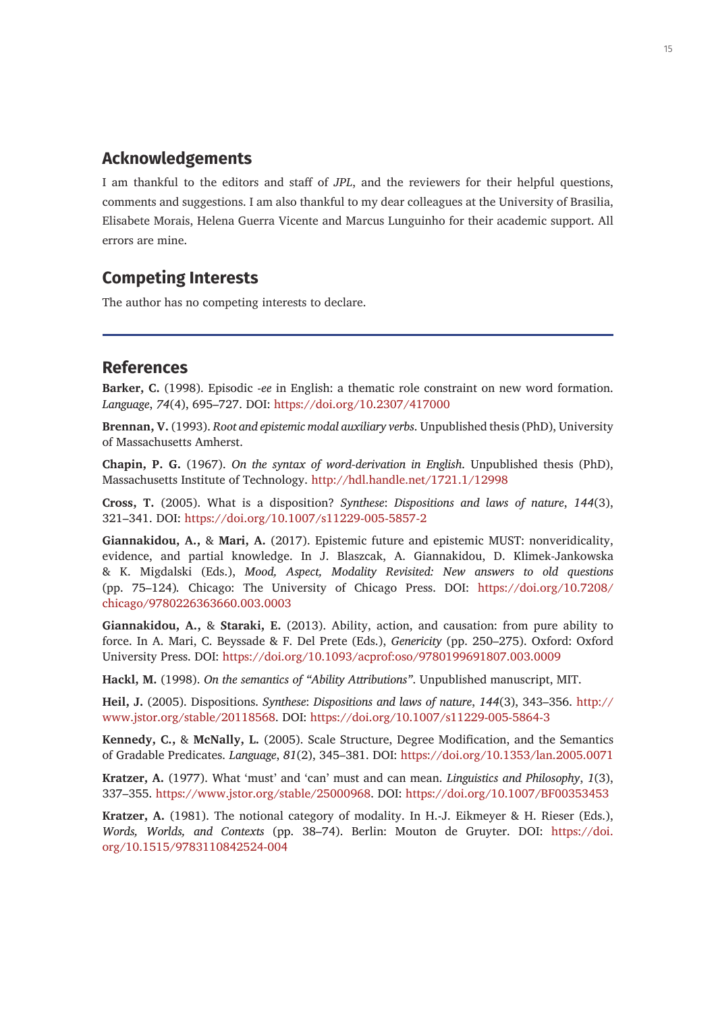## **Acknowledgements**

I am thankful to the editors and staff of *JPL*, and the reviewers for their helpful questions, comments and suggestions. I am also thankful to my dear colleagues at the University of Brasilia, Elisabete Morais, Helena Guerra Vicente and Marcus Lunguinho for their academic support. All errors are mine.

## **Competing Interests**

The author has no competing interests to declare.

### **References**

**Barker, C.** (1998). Episodic -*ee* in English: a thematic role constraint on new word formation. *Language*, *74*(4), 695–727. DOI: <https://doi.org/10.2307/417000>

**Brennan, V.** (1993). *Root and epistemic modal auxiliary verbs*. Unpublished thesis (PhD), University of Massachusetts Amherst.

**Chapin, P. G.** (1967). *On the syntax of word-derivation in English*. Unpublished thesis (PhD), Massachusetts Institute of Technology. <http://hdl.handle.net/1721.1/12998>

**Cross, T.** (2005). What is a disposition? *Synthese*: *Dispositions and laws of nature*, *144*(3), 321–341. DOI: <https://doi.org/10.1007/s11229-005-5857-2>

**Giannakidou, A.,** & **Mari, A.** (2017). Epistemic future and epistemic MUST: nonveridicality, evidence, and partial knowledge. In J. Blaszcak, A. Giannakidou, D. Klimek-Jankowska & K. Migdalski (Eds.), *Mood, Aspect, Modality Revisited: New answers to old questions*  (pp. 75–124)*.* Chicago: The University of Chicago Press. DOI: [https://doi.org/10.7208/](https://doi.org/10.7208/chicago/9780226363660.003.0003) [chicago/9780226363660.003.0003](https://doi.org/10.7208/chicago/9780226363660.003.0003)

**Giannakidou, A.,** & **Staraki, E.** (2013). Ability, action, and causation: from pure ability to force. In A. Mari, C. Beyssade & F. Del Prete (Eds.), *Genericity* (pp. 250–275). Oxford: Oxford University Press. DOI: <https://doi.org/10.1093/acprof:oso/9780199691807.003.0009>

**Hackl, M.** (1998). *On the semantics of "Ability Attributions"*. Unpublished manuscript, MIT.

**Heil, J.** (2005). Dispositions. *Synthese*: *Dispositions and laws of nature*, *144*(3), 343–356. [http://](http://www.jstor.org/stable/20118568) [www.jstor.org/stable/20118568](http://www.jstor.org/stable/20118568). DOI: <https://doi.org/10.1007/s11229-005-5864-3>

**Kennedy, C.,** & **McNally, L.** (2005). Scale Structure, Degree Modification, and the Semantics of Gradable Predicates. *Language*, *81*(2), 345–381. DOI:<https://doi.org/10.1353/lan.2005.0071>

**Kratzer, A.** (1977). What 'must' and 'can' must and can mean. *Linguistics and Philosophy*, *1*(3), 337–355. <https://www.jstor.org/stable/25000968>. DOI: <https://doi.org/10.1007/BF00353453>

**Kratzer, A.** (1981). The notional category of modality. In H.-J. Eikmeyer & H. Rieser (Eds.), *Words, Worlds, and Contexts* (pp. 38–74). Berlin: Mouton de Gruyter. DOI: [https://doi.](https://doi.org/10.1515/9783110842524-004) [org/10.1515/9783110842524-004](https://doi.org/10.1515/9783110842524-004)